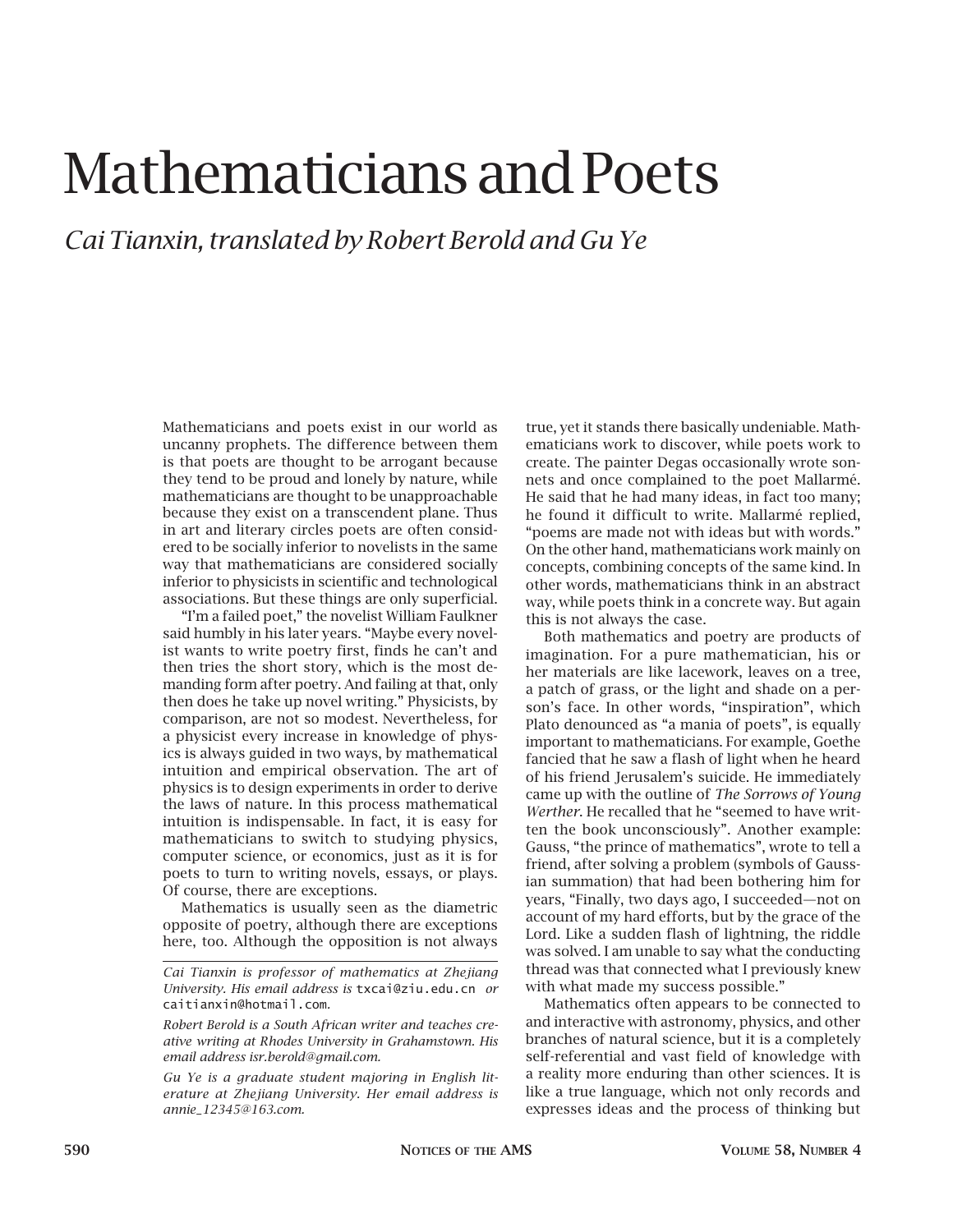## Mathematicians and Poets

*Cai Tianxin, translated by Robert Berold and Gu Ye*

Mathematicians and poets exist in our world as uncanny prophets. The difference between them is that poets are thought to be arrogant because they tend to be proud and lonely by nature, while mathematicians are thought to be unapproachable because they exist on a transcendent plane. Thus in art and literary circles poets are often considered to be socially inferior to novelists in the same way that mathematicians are considered socially inferior to physicists in scientific and technological associations. But these things are only superficial.

"I'm a failed poet," the novelist William Faulkner said humbly in his later years. "Maybe every novelist wants to write poetry first, finds he can't and then tries the short story, which is the most demanding form after poetry. And failing at that, only then does he take up novel writing." Physicists, by comparison, are not so modest. Nevertheless, for a physicist every increase in knowledge of physics is always guided in two ways, by mathematical intuition and empirical observation. The art of physics is to design experiments in order to derive the laws of nature. In this process mathematical intuition is indispensable. In fact, it is easy for mathematicians to switch to studying physics, computer science, or economics, just as it is for poets to turn to writing novels, essays, or plays. Of course, there are exceptions.

Mathematics is usually seen as the diametric opposite of poetry, although there are exceptions here, too. Although the opposition is not always true, yet it stands there basically undeniable. Mathematicians work to discover, while poets work to create. The painter Degas occasionally wrote sonnets and once complained to the poet Mallarmé. He said that he had many ideas, in fact too many; he found it difficult to write. Mallarmé replied, "poems are made not with ideas but with words." On the other hand, mathematicians work mainly on concepts, combining concepts of the same kind. In other words, mathematicians think in an abstract way, while poets think in a concrete way. But again this is not always the case.

Both mathematics and poetry are products of imagination. For a pure mathematician, his or her materials are like lacework, leaves on a tree, a patch of grass, or the light and shade on a person's face. In other words, "inspiration", which Plato denounced as "a mania of poets", is equally important to mathematicians. For example, Goethe fancied that he saw a flash of light when he heard of his friend Jerusalem's suicide. He immediately came up with the outline of *The Sorrows of Young Werther*. He recalled that he "seemed to have written the book unconsciously". Another example: Gauss, "the prince of mathematics", wrote to tell a friend, after solving a problem (symbols of Gaussian summation) that had been bothering him for years, "Finally, two days ago, I succeeded—not on account of my hard efforts, but by the grace of the Lord. Like a sudden flash of lightning, the riddle was solved. I am unable to say what the conducting thread was that connected what I previously knew with what made my success possible."

Mathematics often appears to be connected to and interactive with astronomy, physics, and other branches of natural science, but it is a completely self-referential and vast field of knowledge with a reality more enduring than other sciences. It is like a true language, which not only records and expresses ideas and the process of thinking but

*Cai Tianxin is professor of mathematics at Zhejiang University. His email address is* txcai@ziu.edu.cn *or*  caitianxin@hotmail.com*.*

*Robert Berold is a South African writer and teaches creative writing at Rhodes University in Grahamstown. His email address isr.berold@gmail.com.*

*Gu Ye is a graduate student majoring in English literature at Zhejiang University. Her email address is annie\_12345@163.com.*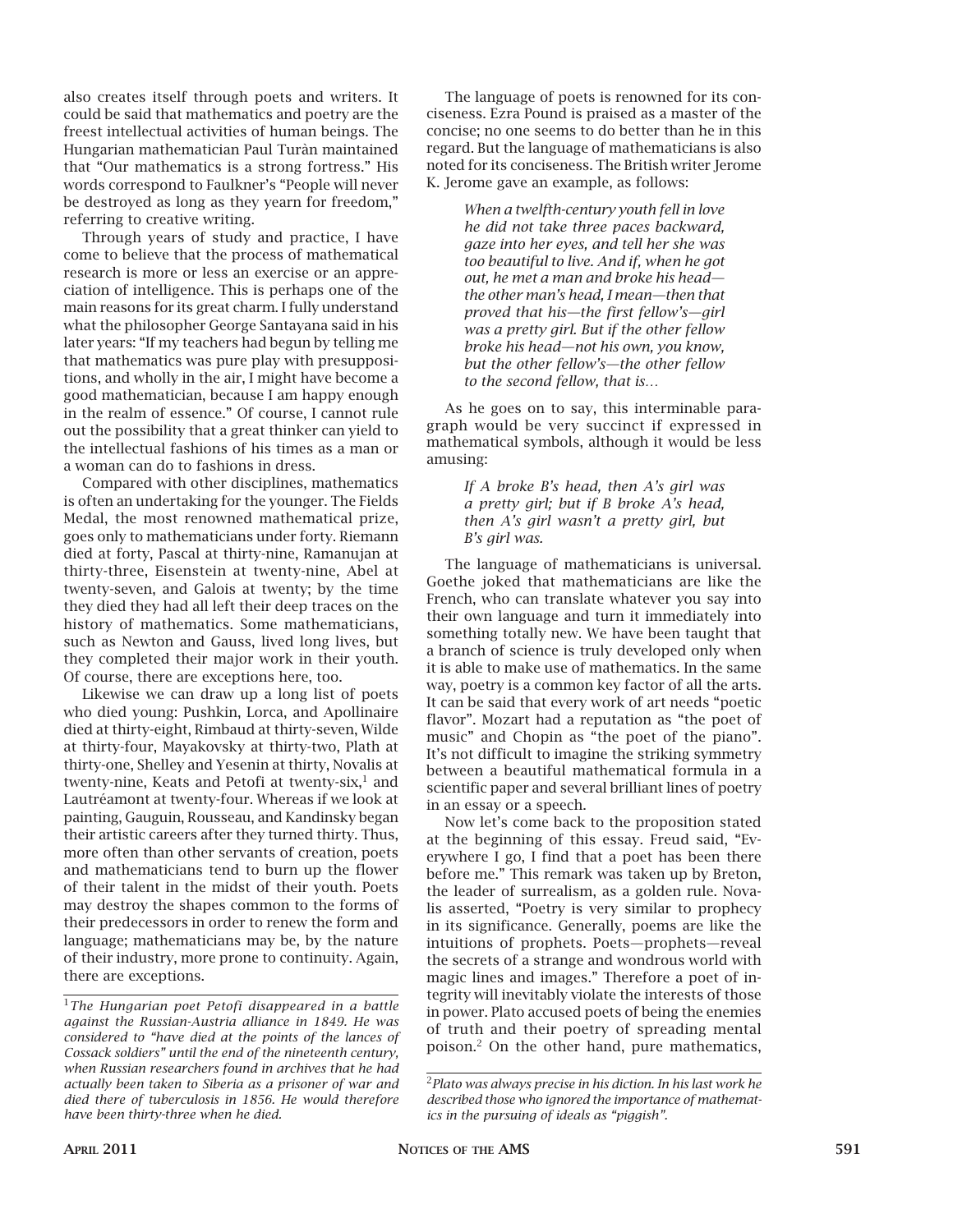also creates itself through poets and writers. It could be said that mathematics and poetry are the freest intellectual activities of human beings. The Hungarian mathematician Paul Turàn maintained that "Our mathematics is a strong fortress." His words correspond to Faulkner's "People will never be destroyed as long as they yearn for freedom," referring to creative writing.

Through years of study and practice, I have come to believe that the process of mathematical research is more or less an exercise or an appreciation of intelligence. This is perhaps one of the main reasons for its great charm. I fully understand what the philosopher George Santayana said in his later years: "If my teachers had begun by telling me that mathematics was pure play with presuppositions, and wholly in the air, I might have become a good mathematician, because I am happy enough in the realm of essence." Of course, I cannot rule out the possibility that a great thinker can yield to the intellectual fashions of his times as a man or a woman can do to fashions in dress.

Compared with other disciplines, mathematics is often an undertaking for the younger. The Fields Medal, the most renowned mathematical prize, goes only to mathematicians under forty. Riemann died at forty, Pascal at thirty-nine, Ramanujan at thirty-three, Eisenstein at twenty-nine, Abel at twenty-seven, and Galois at twenty; by the time they died they had all left their deep traces on the history of mathematics. Some mathematicians, such as Newton and Gauss, lived long lives, but they completed their major work in their youth. Of course, there are exceptions here, too.

Likewise we can draw up a long list of poets who died young: Pushkin, Lorca, and Apollinaire died at thirty-eight, Rimbaud at thirty-seven, Wilde at thirty-four, Mayakovsky at thirty-two, Plath at thirty-one, Shelley and Yesenin at thirty, Novalis at twenty-nine, Keats and Petofi at twenty-six, $<sup>1</sup>$  and</sup> Lautréamont at twenty-four. Whereas if we look at painting, Gauguin, Rousseau, and Kandinsky began their artistic careers after they turned thirty. Thus, more often than other servants of creation, poets and mathematicians tend to burn up the flower of their talent in the midst of their youth. Poets may destroy the shapes common to the forms of their predecessors in order to renew the form and language; mathematicians may be, by the nature of their industry, more prone to continuity. Again, there are exceptions.

The language of poets is renowned for its conciseness. Ezra Pound is praised as a master of the concise; no one seems to do better than he in this regard. But the language of mathematicians is also noted for its conciseness. The British writer Jerome K. Jerome gave an example, as follows:

> *When a twelfth-century youth fell in love he did not take three paces backward, gaze into her eyes, and tell her she was too beautiful to live. And if, when he got out, he met a man and broke his head the other man's head, I mean—then that proved that his—the first fellow's—girl was a pretty girl. But if the other fellow broke his head—not his own, you know, but the other fellow's—the other fellow to the second fellow, that is…*

As he goes on to say, this interminable paragraph would be very succinct if expressed in mathematical symbols, although it would be less amusing:

## *If A broke B's head, then A's girl was a pretty girl; but if B broke A's head, then A's girl wasn't a pretty girl, but B's girl was.*

The language of mathematicians is universal. Goethe joked that mathematicians are like the French, who can translate whatever you say into their own language and turn it immediately into something totally new. We have been taught that a branch of science is truly developed only when it is able to make use of mathematics. In the same way, poetry is a common key factor of all the arts. It can be said that every work of art needs "poetic flavor". Mozart had a reputation as "the poet of music" and Chopin as "the poet of the piano". It's not difficult to imagine the striking symmetry between a beautiful mathematical formula in a scientific paper and several brilliant lines of poetry in an essay or a speech.

Now let's come back to the proposition stated at the beginning of this essay. Freud said, "Everywhere I go, I find that a poet has been there before me." This remark was taken up by Breton, the leader of surrealism, as a golden rule. Novalis asserted, "Poetry is very similar to prophecy in its significance. Generally, poems are like the intuitions of prophets. Poets—prophets—reveal the secrets of a strange and wondrous world with magic lines and images." Therefore a poet of integrity will inevitably violate the interests of those in power. Plato accused poets of being the enemies of truth and their poetry of spreading mental poison.2 On the other hand, pure mathematics,

<sup>1</sup>*The Hungarian poet Petofi disappeared in a battle against the Russian-Austria alliance in 1849. He was considered to "have died at the points of the lances of Cossack soldiers" until the end of the nineteenth century, when Russian researchers found in archives that he had actually been taken to Siberia as a prisoner of war and died there of tuberculosis in 1856. He would therefore have been thirty-three when he died.*

<sup>2</sup>*Plato was always precise in his diction. In his last work he described those who ignored the importance of mathematics in the pursuing of ideals as "piggish".*